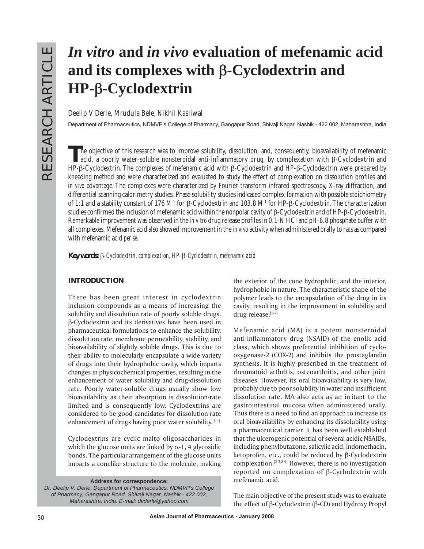# *In vitro* **and** *in vivo* **evaluation of mefenamic acid and its complexes with** β**-Cyclodextrin and HP-**β**-Cyclodextrin**

## **Deelip V Derle, Mrudula Bele, Nikhil Kasliwal**

Department of Pharmaceutics, NDMVPís College of Pharmacy, Gangapur Road, Shivaji Nagar, Nashik - 422 002, Maharashtra, India

The objective of this research was to improve solubility, dissolution, and, consequently, bioavailability of mefenamic<br>acid, a poorly water-soluble nonsteroidal anti-inflammatory drug, by complexation with  $\beta$ -Cyclodextr HP-β-Cyclodextrin. The complexes of mefenamic acid with β-Cyclodextrin and HP-β-Cyclodextrin were prepared by kneading method and were characterized and evaluated to study the effect of complexation on dissolution profiles and *in vivo* advantage. The complexes were characterized by Fourier transform infrared spectroscopy, X-ray diffraction, and differential scanning calorimetry studies. Phase solubility studies indicated complex formation with possible stoichiometry of 1:1 and a stability constant of 176 M-1 for β-Cyclodextrin and 103.8 M-1 for HP-β-Cyclodextrin. The characterization studies confirmed the inclusion of mefenamic acid within the nonpolar cavity of β-Cyclodextrin and of HP-β-Cyclodextrin. Remarkable improvement was observed in the *in vitro* drug release profiles in 0.1-N HCl and pH-6.8 phosphate buffer with all complexes. Mefenamic acid also showed improvement in the *in vivo* activity when administered orally to rats as compared with mefenamic acid *per se.*

*Key words:* β*-Cyclodextrin, complexation, HP-*β*-Cyclodextrin, mefenamic acid*

# **INTRODUCTION**

There has been great interest in cyclodextrin inclusion compounds as a means of increasing the solubility and dissolution rate of poorly soluble drugs. β-Cyclodextrin and its derivatives have been used in pharmaceutical formulations to enhance the solubility, dissolution rate, membrane permeability, stability, and bioavailability of slightly soluble drugs. This is due to their ability to molecularly encapsulate a wide variety of drugs into their hydrophobic cavity, which imparts changes in physicochemical properties, resulting in the enhancement of water solubility and drug-dissolution rate. Poorly water-soluble drugs usually show low bioavailability as their absorption is dissolution-rate limited and is consequently low. Cyclodextrins are considered to be good candidates for dissolution-rate enhancement of drugs having poor water solubility.[1-4]

Cyclodextrins are cyclic malto oligosaccharides in which the glucose units are linked by  $\alpha$ -1, 4 glycosidic bonds. The particular arrangement of the glucose units imparts a conelike structure to the molecule, making

**Address for correspondence:**

*Dr. Deelip V. Derle, Department of Pharmaceutics, NDMVP's College of Pharmacy, Gangapur Road, Shivaji Nagar, Nashik - 422 002, Maharashtra, India. E-mail: dvderle@yahoo.com*

the exterior of the cone hydrophilic; and the interior, hydrophobic in nature. The characteristic shape of the polymer leads to the encapsulation of the drug in its cavity, resulting in the improvement in solubility and drug release.[5-7]

Mefenamic acid (MA) is a potent nonsteroidal anti-inflammatory drug (NSAID) of the enolic acid class, which shows preferential inhibition of cyclooxygenase-2 (COX-2) and inhibits the prostaglandin synthesis. It is highly prescribed in the treatment of rheumatoid arthritis, osteoarthritis, and other joint diseases. However, its oral bioavailability is very low, probably due to poor solubility in water and insufficient dissolution rate. MA also acts as an irritant to the gastrointestinal mucosa when administered orally. Thus there is a need to find an approach to increase its oral bioavailability by enhancing its dissolubility using a pharmaceutical carrier. It has been well established that the ulcerogenic potential of several acidic NSAIDs, including phenylbutazone, salicylic acid, indomethacin, ketoprofen, etc., could be reduced by β-Cyclodextrin complexation.[2-3,8-9] However, there is no investigation reported on complexation of β-Cyclodextrin with mefenamic acid.

The main objective of the present study was to evaluate the effect of β-Cyclodextrin (β-CD) and Hydroxy Propyl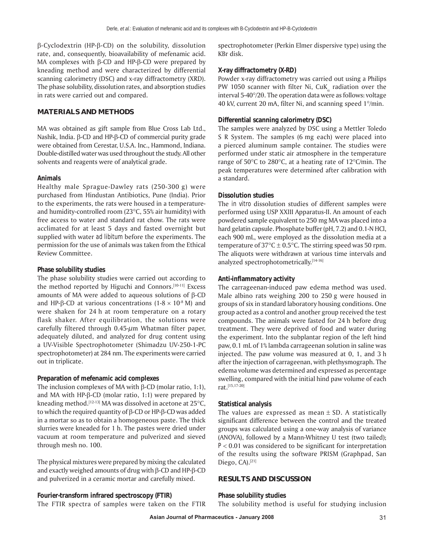β-Cyclodextrin (HP-β-CD) on the solubility, dissolution rate, and, consequently, bioavailability of mefenamic acid. MA complexes with β-CD and HP-β-CD were prepared by kneading method and were characterized by differential scanning calorimetry (DSC) and x-ray diffractometry (XRD). The phase solubility, dissolution rates, and absorption studies in rats were carried out and compared.

## **MATERIALS AND METHODS**

MA was obtained as gift sample from Blue Cross Lab Ltd., Nashik, India. β-CD and HP-β-CD of commercial purity grade were obtained from Cerestar, U.S.A. Inc., Hammond, Indiana. Double-distilled water was used throughout the study. All other solvents and reagents were of analytical grade.

#### **Animals**

Healthy male Sprague-Dawley rats (250-300 g) were purchased from Hindustan Antibiotics, Pune (India). Prior to the experiments, the rats were housed in a temperatureand humidity-controlled room (23°C, 55% air humidity) with free access to water and standard rat chow. The rats were acclimated for at least 5 days and fasted overnight but supplied with water *ad libitum* before the experiments. The permission for the use of animals was taken from the Ethical Review Committee.

#### **Phase solubility studies**

The phase solubility studies were carried out according to the method reported by Higuchi and Connors.<sup>[10-11]</sup> Excess amounts of MA were added to aqueous solutions of β-CD and HP-β-CD at various concentrations (1-8  $\times$  10<sup>-8</sup> M) and were shaken for 24 h at room temperature on a rotary flask shaker. After equilibration, the solutions were carefully filtered through  $0.45$ - $\mu$ m Whatman filter paper, adequately diluted, and analyzed for drug content using a UV-Visible Spectrophotometer (Shimadzu UV-250-1-PC spectrophotometer) at 284 nm. The experiments were carried out in triplicate.

## **Preparation of mefenamic acid complexes**

The inclusion complexes of MA with β-CD (molar ratio, 1:1), and MA with HP-β-CD (molar ratio, 1:1) were prepared by kneading method.<sup>[12-13]</sup> MA was dissolved in acetone at  $25^{\circ}$ C, to which the required quantity of β-CD or HP-β-CD was added in a mortar so as to obtain a homogeneous paste. The thick slurries were kneaded for 1 h. The pastes were dried under vacuum at room temperature and pulverized and sieved through mesh no. 100.

The physical mixtures were prepared by mixing the calculated and exactly weighed amounts of drug with β-CD and HP-β-CD and pulverized in a ceramic mortar and carefully mixed.

## **Fourier-transform infrared spectroscopy (FTIR)**

The FTIR spectra of samples were taken on the FTIR

spectrophotometer (Perkin Elmer dispersive type) using the KBr disk.

#### **X-ray diffractometry (X-RD)**

Powder x-ray diffractometry was carried out using a Philips PW 1050 scanner with filter Ni, CuK $_{\alpha}$  radiation over the interval 5-40°/2θ. The operation data were as follows: voltage 40 kV, current 20 mA, filter Ni, and scanning speed 1°/min.

## **Differential scanning calorimetry (DSC)**

The samples were analyzed by DSC using a Mettler Toledo S R System. The samples (6 mg each) were placed into a pierced aluminum sample container. The studies were performed under static air atmosphere in the temperature range of 50°C to 280°C, at a heating rate of 12°C/min. The peak temperatures were determined after calibration with a standard.

#### **Dissolution studies**

The *in vitro* dissolution studies of different samples were performed using USP XXIII Apparatus-II. An amount of each powdered sample equivalent to 250 mg MA was placed into a hard gelatin capsule. Phosphate buffer (pH, 7.2) and 0.1-N HCl, each 900 mL, were employed as the dissolution media at a temperature of  $37^{\circ}$ C  $\pm$  0.5 $^{\circ}$ C. The stirring speed was 50 rpm. The aliquots were withdrawn at various time intervals and analyzed spectrophotometrically.[14-16]

## **Anti-inflammatory activity**

The carrageenan-induced paw edema method was used. Male albino rats weighing 200 to 250 g were housed in groups of six in standard laboratory housing conditions. One group acted as a control and another group received the test compounds. The animals were fasted for 24 h before drug treatment. They were deprived of food and water during the experiment. Into the subplantar region of the left hind paw, 0.1 mL of 1% lambda carrageenan solution in saline was injected. The paw volume was measured at 0, 1, and 3 h after the injection of carrageenan, with plethysmograph. The edema volume was determined and expressed as percentage swelling, compared with the initial hind paw volume of each rat.[15,17-20]

## **Statistical analysis**

The values are expressed as mean  $\pm$  SD. A statistically significant difference between the control and the treated groups was calculated using a one-way analysis of variance (ANOVA), followed by a Mann-Whitney U test (two tailed); *P* < 0.01 was considered to be significant for interpretation of the results using the software PRISM (Graphpad, San Diego, CA).[21]

## **RESULTS AND DISCUSSION**

#### **Phase solubility studies**

The solubility method is useful for studying inclusion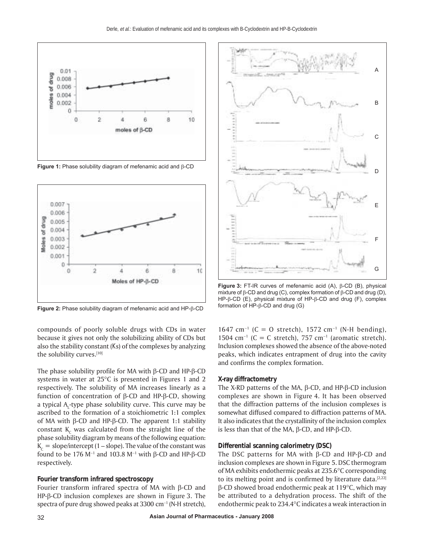

**Figure 1:** Phase solubility diagram of mefenamic acid and β-CD



**Figure 2:** Phase solubility diagram of mefenamic acid and HP-β-CD

compounds of poorly soluble drugs with CDs in water because it gives not only the solubilizing ability of CDs but also the stability constant (*K*s) of the complexes by analyzing the solubility curves.[10]

The phase solubility profile for MA with β-CD and HP-β-CD systems in water at 25°C is presented in Figures 1 and 2 respectively. The solubility of MA increases linearly as a function of concentration of β-CD and HP-β-CD, showing a typical  $A_L$ -type phase solubility curve. This curve may be ascribed to the formation of a stoichiometric 1:1 complex of MA with β-CD and HP-β-CD. The apparent 1:1 stability constant  $K_c$  was calculated from the straight line of the phase solubility diagram by means of the following equation:  $K_c$  = slope/intercept (1 – slope). The value of the constant was found to be 176 M<sup>-1</sup> and 103.8 M<sup>-1</sup> with β-CD and HP-β-CD respectively.

#### **Fourier transform infrared spectroscopy**

Fourier transform infrared spectra of MA with β-CD and HP-β-CD inclusion complexes are shown in Figure 3. The spectra of pure drug showed peaks at 3300 cm<sup>-1</sup> (N-H stretch),



**Figure 3:** FT-IR curves of mefenamic acid (A), β-CD (B), physical mixture of β-CD and drug (C), complex formation of β-CD and drug (D), HP-β-CD (E), physical mixture of HP-β-CD and drug (F), complex formation of HP-β-CD and drug (G)

1647 cm<sup>−</sup><sup>1</sup> (C = O stretch), 1572 cm<sup>−</sup><sup>1</sup> (N-H bending), 1504 cm<sup>-1</sup> (C = C stretch), 757 cm<sup>-1</sup> (aromatic stretch). Inclusion complexes showed the absence of the above-noted peaks, which indicates entrapment of drug into the cavity and confirms the complex formation.

#### **X-ray diffractometry**

The X-RD patterns of the MA, β-CD, and HP-β-CD inclusion complexes are shown in Figure 4. It has been observed that the diffraction patterns of the inclusion complexes is somewhat diffused compared to diffraction patterns of MA. It also indicates that the crystallinity of the inclusion complex is less than that of the MA, β-CD, and HP-β-CD.

#### **Differential scanning calorimetry (DSC)**

The DSC patterns for MA with β-CD and HP-β-CD and inclusion complexes are shown in Figure 5. DSC thermogram of MA exhibits endothermic peaks at 235.6°C corresponding to its melting point and is confirmed by literature data. $[2,22]$ β-CD showed broad endothermic peak at 119°C, which may be attributed to a dehydration process. The shift of the endothermic peak to 234.4°C indicates a weak interaction in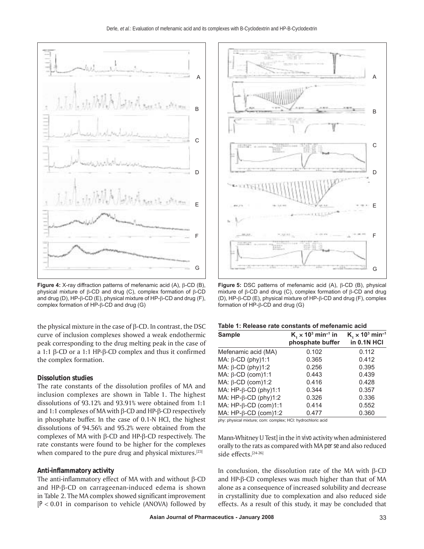

**Figure 4:** X-ray diffraction patterns of mefenamic acid (A), β-CD (B), physical mixture of β-CD and drug (C), complex formation of β-CD and drug (D), HP-β-CD (E), physical mixture of HP-β-CD and drug (F), complex formation of HP-β-CD and drug (G)

the physical mixture in the case of  $β$ -CD. In contrast, the DSC curve of inclusion complexes showed a weak endothermic peak corresponding to the drug melting peak in the case of a 1:1 β-CD or a 1:1 HP-β-CD complex and thus it confirmed the complex formation.

#### **Dissolution studies**

The rate constants of the dissolution profiles of MA and inclusion complexes are shown in Table 1. The highest dissolutions of 93.12% and 93.91% were obtained from 1:1 and 1:1 complexes of MA with β-CD and HP-β-CD respectively in phosphate buffer. In the case of 0.1-N HCl, the highest dissolutions of 94.56% and 95.2% were obtained from the complexes of MA with β-CD and HP-β-CD respectively. The rate constants were found to be higher for the complexes when compared to the pure drug and physical mixtures.<sup>[23]</sup>

#### **Anti-inflammatory activity**

The anti-inflammatory effect of MA with and without β-CD and HP-β-CD on carrageenan-induced edema is shown in Table 2. The MA complex showed significant improvement  $[P< 0.01$  in comparison to vehicle (ANOVA) followed by



**Figure 5:** DSC patterns of mefenamic acid (A), β-CD (B), physical mixture of β-CD and drug (C), complex formation of β-CD and drug (D), HP-β-CD (E), physical mixture of HP-β-CD and drug (F), complex formation of HP-β-CD and drug (G)

| Table 1: Release rate constants of mefenamic acid |  |  |  |  |
|---------------------------------------------------|--|--|--|--|
|---------------------------------------------------|--|--|--|--|

| <b>Sample</b>                   | $K4 \times 103$ min <sup>-1</sup> in<br>phosphate buffer | $K_1 \times 10^3$ min <sup>-1</sup><br><b>in 0.1N HCI</b> |
|---------------------------------|----------------------------------------------------------|-----------------------------------------------------------|
| Mefenamic acid (MA)             | 0.102                                                    | 0.112                                                     |
| MA: $\beta$ -CD (phy)1:1        | 0.365                                                    | 0.412                                                     |
| MA: $\beta$ -CD (phy)1:2        | 0.256                                                    | 0.395                                                     |
| MA: $\beta$ -CD (com)1:1        | 0.443                                                    | 0.439                                                     |
| MA: $\beta$ -CD (com)1:2        | 0.416                                                    | 0.428                                                     |
| MA: $HP$ - $\beta$ -CD (phy)1:1 | 0.344                                                    | 0.357                                                     |
| MA: $HP$ - $\beta$ -CD (phy)1:2 | 0.326                                                    | 0.336                                                     |
| MA: $HP$ - $\beta$ -CD (com)1:1 | 0.414                                                    | 0.552                                                     |
| MA: $HP$ - $\beta$ -CD (com)1:2 | 0.477                                                    | 0.360                                                     |

phy: physical mixture; com: complex; HCl: hydrochloric acid

Mann-Whitney U Test] in the *in vivo* activity when administered orally to the rats as compared with MA *per se* and also reduced side effects.[24-26]

In conclusion, the dissolution rate of the MA with β-CD and HP-β-CD complexes was much higher than that of MA alone as a consequence of increased solubility and decrease in crystallinity due to complexation and also reduced side effects. As a result of this study, it may be concluded that